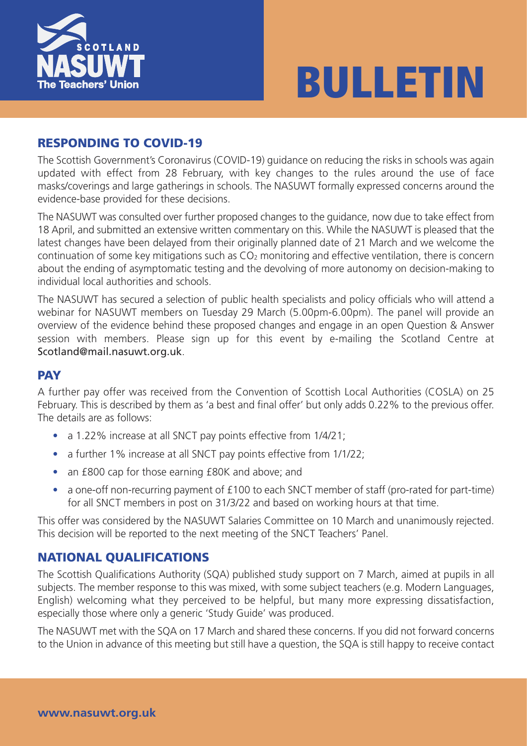

# **BULLETIN**

## **RESPONDING TO COVID-19**

The Scottish Government's Coronavirus (COVID-19) guidance on reducing the risks in schools was again updated with effect from 28 February, with key changes to the rules around the use of face masks/coverings and large gatherings in schools. The NASUWT formally expressed concerns around the evidence-base provided for these decisions.

The NASUWT was consulted over further proposed changes to the guidance, now due to take effect from 18 April, and submitted an extensive written commentary on this. While the NASUWT is pleased that the latest changes have been delayed from their originally planned date of 21 March and we welcome the continuation of some key mitigations such as CO2 monitoring and effective ventilation, there is concern about the ending of asymptomatic testing and the devolving of more autonomy on decision-making to individual local authorities and schools.

The NASUWT has secured a selection of public health specialists and policy officials who will attend a webinar for NASUWT members on Tuesday 29 March (5.00pm-6.00pm). The panel will provide an overview of the evidence behind these proposed changes and engage in an open Question & Answer session with members. Please sign up for this event by e-mailing the Scotland Centre at Scotland@mail.nasuwt.org.uk.

## **PAY**

A further pay offer was received from the Convention of Scottish Local Authorities (COSLA) on 25 February. This is described by them as 'a best and final offer' but only adds 0.22% to the previous offer. The details are as follows:

- a 1.22% increase at all SNCT pay points effective from 1/4/21;
- a further 1% increase at all SNCT pay points effective from 1/1/22;
- an £800 cap for those earning £80K and above; and
- a one-off non-recurring payment of £100 to each SNCT member of staff (pro-rated for part-time) for all SNCT members in post on 31/3/22 and based on working hours at that time.

This offer was considered by the NASUWT Salaries Committee on 10 March and unanimously rejected. This decision will be reported to the next meeting of the SNCT Teachers' Panel.

## **NATIONAL QUALIFICATIONS**

The Scottish Qualifications Authority (SQA) published study support on 7 March, aimed at pupils in all subjects. The member response to this was mixed, with some subject teachers (e.g. Modern Languages, English) welcoming what they perceived to be helpful, but many more expressing dissatisfaction, especially those where only a generic 'Study Guide' was produced.

The NASUWT met with the SQA on 17 March and shared these concerns. If you did not forward concerns to the Union in advance of this meeting but still have a question, the SQA is still happy to receive contact